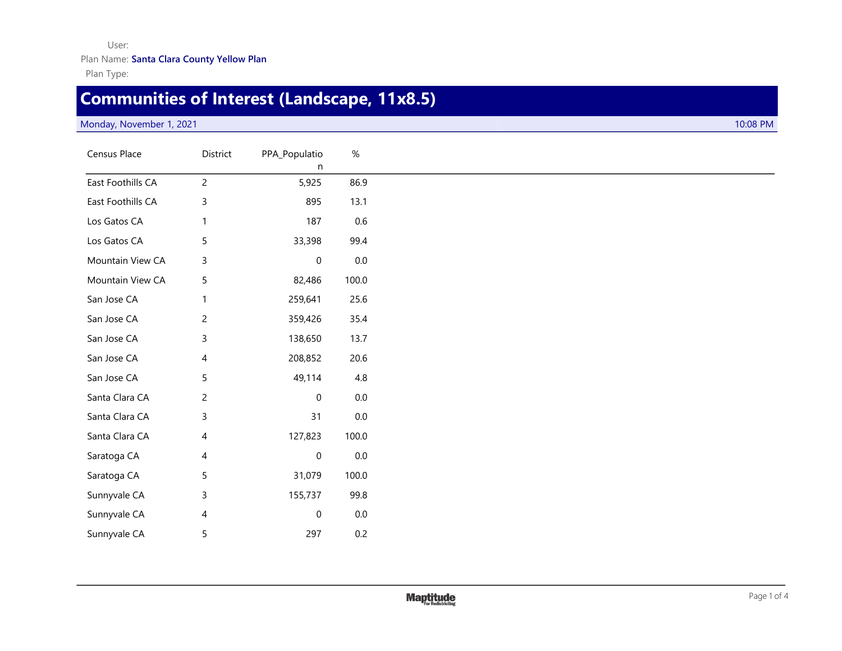### User: Plan Name: **Santa Clara County Yellow Plan**

Plan Type:

# **Communities of Interest (Landscape, 11x8.5)**

#### Monday, November 1, 2021 10:08 PM

| Census Place      | District       | PPA_Populatio<br>n  | $\%$    |
|-------------------|----------------|---------------------|---------|
| East Foothills CA | $\overline{c}$ | 5,925               | 86.9    |
| East Foothills CA | 3              | 895                 | 13.1    |
| Los Gatos CA      | 1              | 187                 | $0.6\,$ |
| Los Gatos CA      | 5              | 33,398              | 99.4    |
| Mountain View CA  | 3              | $\mathsf{O}\xspace$ | $0.0\,$ |
| Mountain View CA  | 5              | 82,486              | 100.0   |
| San Jose CA       | $\mathbf{1}$   | 259,641             | 25.6    |
| San Jose CA       | $\overline{c}$ | 359,426             | 35.4    |
| San Jose CA       | 3              | 138,650             | 13.7    |
| San Jose CA       | 4              | 208,852             | 20.6    |
| San Jose CA       | 5              | 49,114              | $4.8\,$ |
| Santa Clara CA    | $\overline{c}$ | 0                   | $0.0\,$ |
| Santa Clara CA    | 3              | 31                  | $0.0\,$ |
| Santa Clara CA    | 4              | 127,823             | 100.0   |
| Saratoga CA       | 4              | $\mathsf{O}\xspace$ | $0.0\,$ |
| Saratoga CA       | 5              | 31,079              | 100.0   |
| Sunnyvale CA      | 3              | 155,737             | 99.8    |
| Sunnyvale CA      | 4              | 0                   | $0.0\,$ |
| Sunnyvale CA      | 5              | 297                 | 0.2     |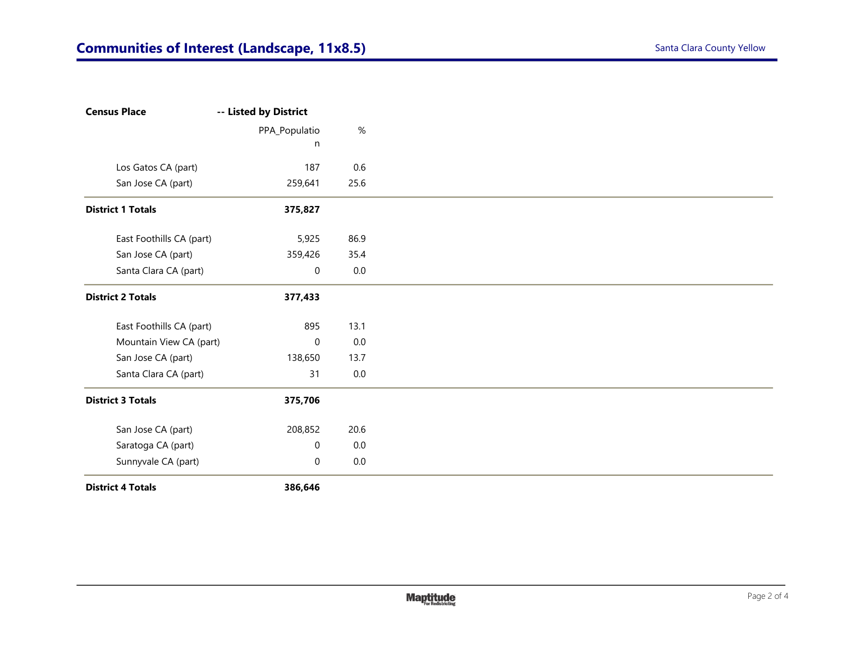Plan

| <b>Census Place</b>      | -- Listed by District |         |
|--------------------------|-----------------------|---------|
|                          | PPA_Populatio         | $\%$    |
|                          | n                     |         |
| Los Gatos CA (part)      | 187                   | 0.6     |
| San Jose CA (part)       | 259,641               | 25.6    |
| <b>District 1 Totals</b> | 375,827               |         |
| East Foothills CA (part) | 5,925                 | 86.9    |
| San Jose CA (part)       | 359,426               | 35.4    |
| Santa Clara CA (part)    | $\boldsymbol{0}$      | $0.0\,$ |
| <b>District 2 Totals</b> | 377,433               |         |
| East Foothills CA (part) | 895                   | 13.1    |
| Mountain View CA (part)  | $\mathbf 0$           | $0.0\,$ |
| San Jose CA (part)       | 138,650               | 13.7    |
| Santa Clara CA (part)    | 31                    | $0.0\,$ |
| <b>District 3 Totals</b> | 375,706               |         |
| San Jose CA (part)       | 208,852               | 20.6    |
| Saratoga CA (part)       | $\mathbf 0$           | 0.0     |
| Sunnyvale CA (part)      | 0                     | $0.0\,$ |
| <b>District 4 Totals</b> | 386,646               |         |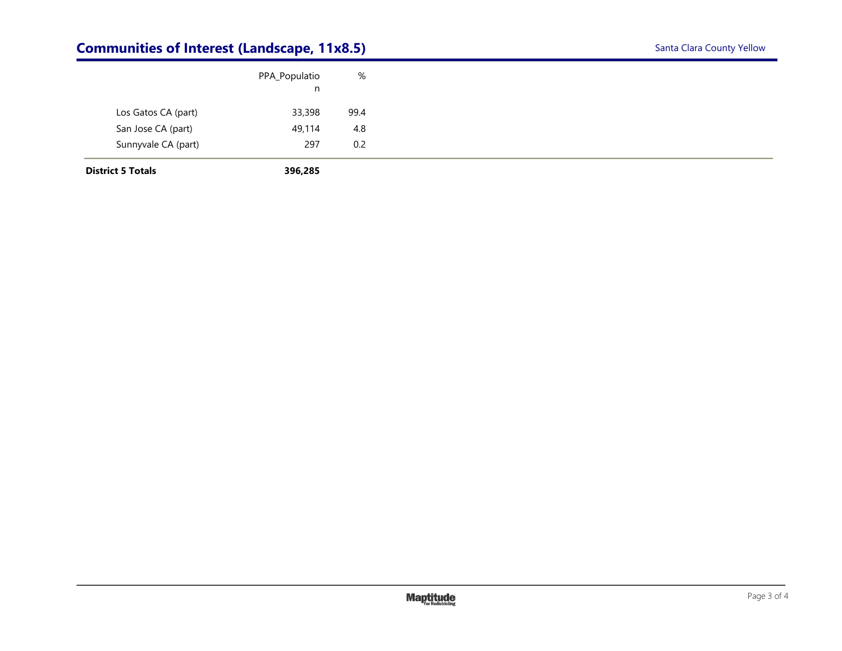### **Communities of Interest (Landscape, 11x8.5)** Santa Clara County Yellow